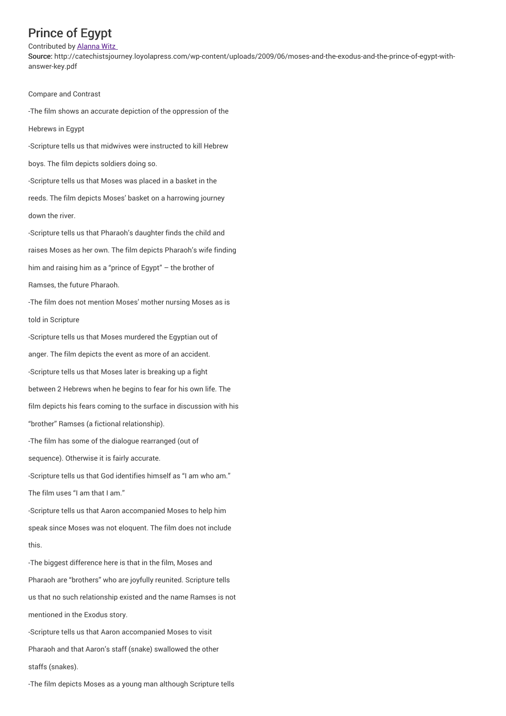## Prince of Egypt

## Contributed by Alanna Witz

Source: http://catechistsjourney.loyolapress.com/wp-content/uploads/2009/06/moses-and-the-exodus-and-the-prince-of-egypt-withanswer-key.pdf

Compare and Contrast

-The film shows an accurate depiction of the oppression of the

Hebrews in Egypt

-Scripture tells us that midwives were instructed to kill Hebrew

boys. The film depicts soldiers doing so.

-Scripture tells us that Moses was placed in a basket in the reeds. The film depicts Moses' basket on a harrowing journey down the river.

-Scripture tells us that Pharaoh's daughter finds the child and raises Moses as her own. The film depicts Pharaoh's wife finding him and raising him as a "prince of Egypt" – the brother of Ramses, the future Pharaoh.

-The film does not mention Moses' mother nursing Moses as is told in Scripture

-Scripture tells us that Moses murdered the Egyptian out of anger. The film depicts the event as more of an accident. -Scripture tells us that Moses later is breaking up a fight between 2 Hebrews when he begins to fear for his own life. The film depicts his fears coming to the surface in discussion with his "brother" Ramses (a fictional relationship). -The film has some of the dialogue rearranged (out of

sequence). Otherwise it is fairly accurate.

-Scripture tells us that God identifies himself as "I am who am." The film uses "I am that I am."

-Scripture tells us that Aaron accompanied Moses to help him speak since Moses was not eloquent. The film does not include this.

-The biggest difference here is that in the film, Moses and Pharaoh are "brothers" who are joyfully reunited. Scripture tells us that no such relationship existed and the name Ramses is not mentioned in the Exodus story.

-Scripture tells us that Aaron accompanied Moses to visit Pharaoh and that Aaron's staff (snake) swallowed the other staffs (snakes).

-The film depicts Moses as a young man although Scripture tells